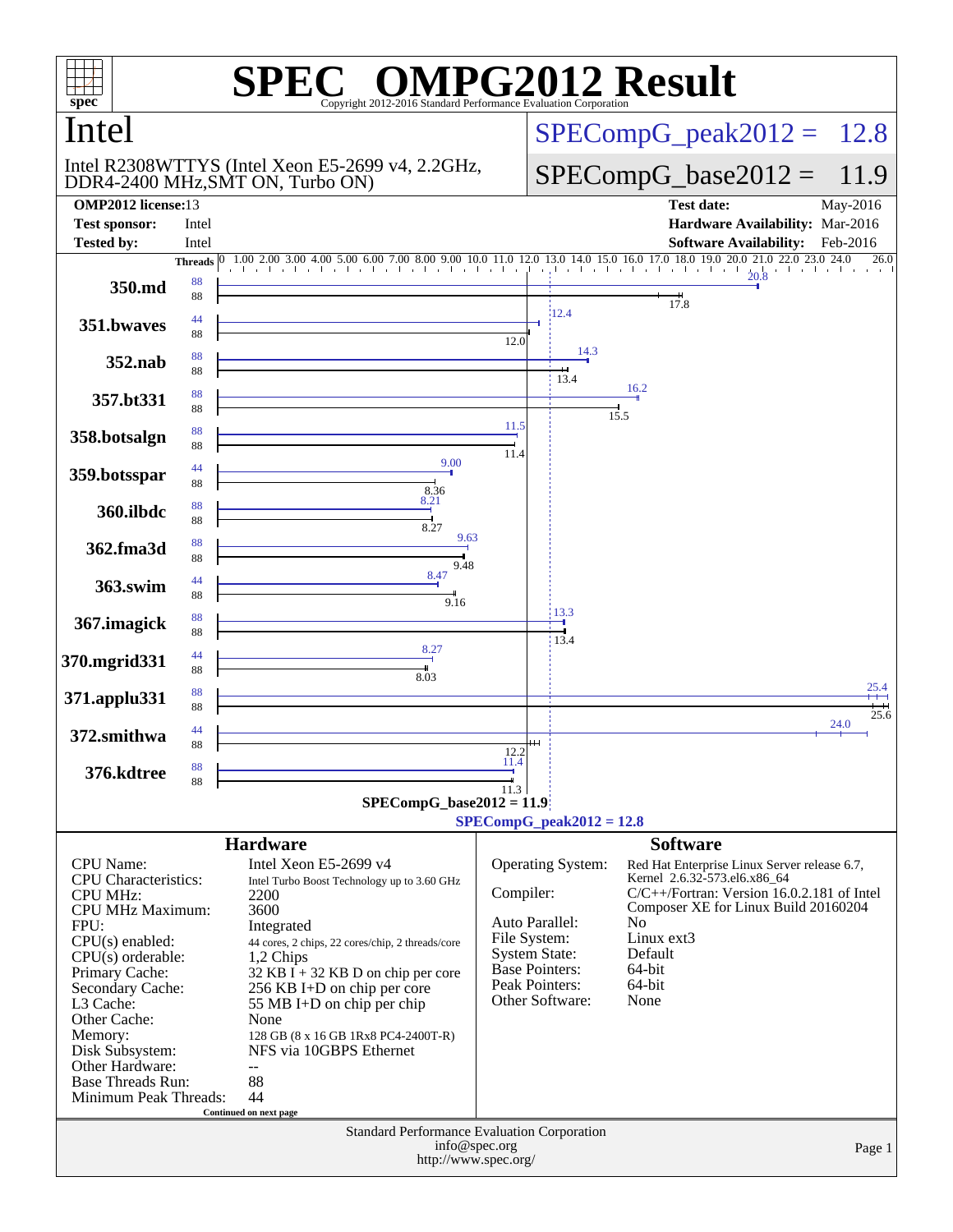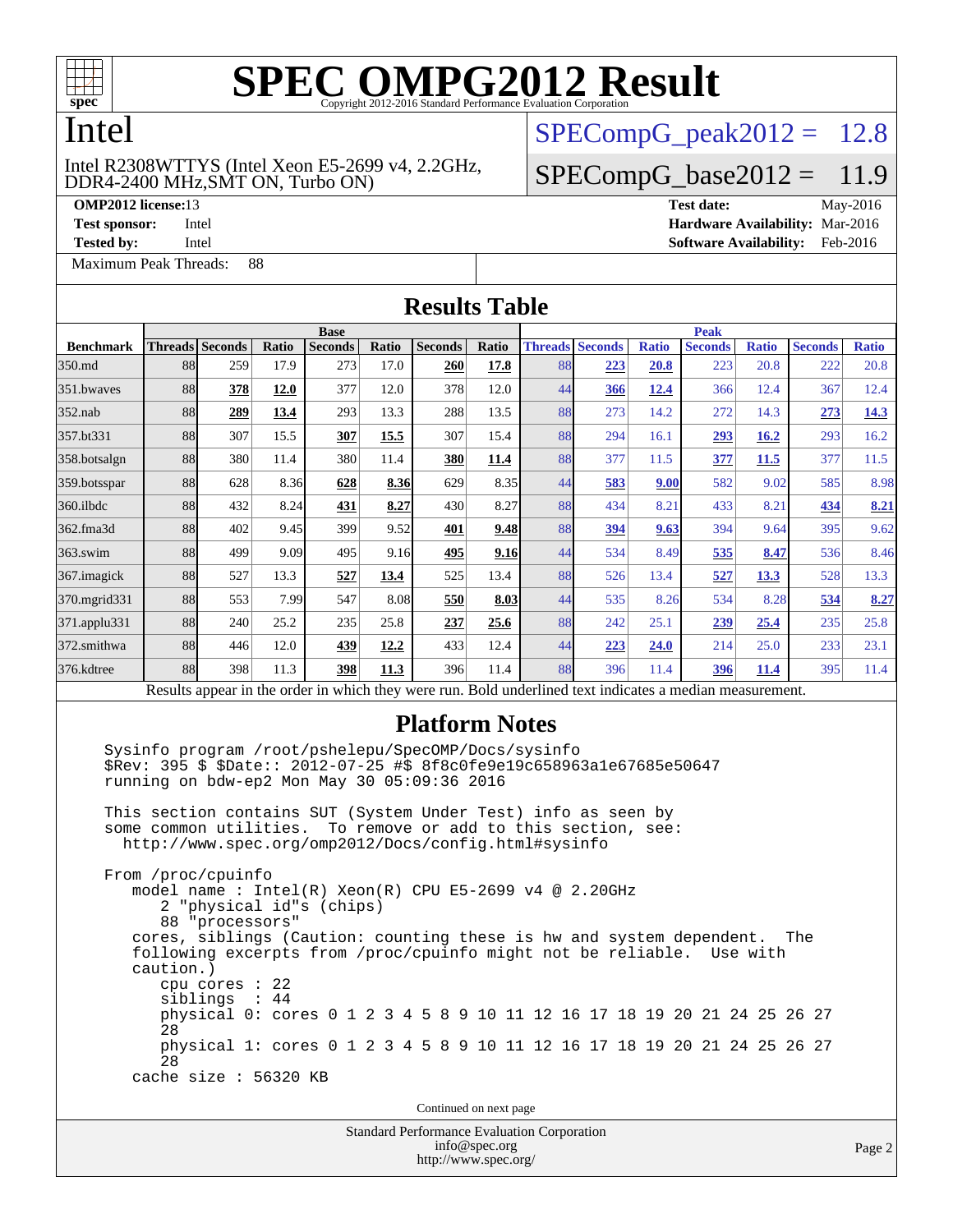

#### Intel

#### DDR4-2400 MHz,SMT ON, Turbo ON) Intel R2308WTTYS (Intel Xeon E5-2699 v4, 2.2GHz,

**[Tested by:](http://www.spec.org/auto/omp2012/Docs/result-fields.html#Testedby)** Intel **[Software Availability:](http://www.spec.org/auto/omp2012/Docs/result-fields.html#SoftwareAvailability)** Feb-2016

[Maximum Peak Threads:](http://www.spec.org/auto/omp2012/Docs/result-fields.html#MaximumPeakThreads) 88

 $SPECompG<sub>peak2012</sub> = 12.8$ 

#### $SPECompG_base2012 = 11.9$  $SPECompG_base2012 = 11.9$

**[OMP2012 license:](http://www.spec.org/auto/omp2012/Docs/result-fields.html#OMP2012license)**13 **[Test date:](http://www.spec.org/auto/omp2012/Docs/result-fields.html#Testdate)** May-2016 **[Test sponsor:](http://www.spec.org/auto/omp2012/Docs/result-fields.html#Testsponsor)** Intel **[Hardware Availability:](http://www.spec.org/auto/omp2012/Docs/result-fields.html#HardwareAvailability)** Mar-2016

**[Results Table](http://www.spec.org/auto/omp2012/Docs/result-fields.html#ResultsTable) [Benchmark](http://www.spec.org/auto/omp2012/Docs/result-fields.html#Benchmark) [Threads](http://www.spec.org/auto/omp2012/Docs/result-fields.html#Threads) [Seconds](http://www.spec.org/auto/omp2012/Docs/result-fields.html#Seconds) [Ratio](http://www.spec.org/auto/omp2012/Docs/result-fields.html#Ratio) [Seconds](http://www.spec.org/auto/omp2012/Docs/result-fields.html#Seconds) [Ratio](http://www.spec.org/auto/omp2012/Docs/result-fields.html#Ratio) [Seconds](http://www.spec.org/auto/omp2012/Docs/result-fields.html#Seconds) [Ratio](http://www.spec.org/auto/omp2012/Docs/result-fields.html#Ratio) Base [Threads](http://www.spec.org/auto/omp2012/Docs/result-fields.html#Threads) [Seconds](http://www.spec.org/auto/omp2012/Docs/result-fields.html#Seconds) [Ratio](http://www.spec.org/auto/omp2012/Docs/result-fields.html#Ratio) [Seconds](http://www.spec.org/auto/omp2012/Docs/result-fields.html#Seconds) [Ratio](http://www.spec.org/auto/omp2012/Docs/result-fields.html#Ratio) [Seconds](http://www.spec.org/auto/omp2012/Docs/result-fields.html#Seconds) [Ratio](http://www.spec.org/auto/omp2012/Docs/result-fields.html#Ratio) Peak** [350.md](http://www.spec.org/auto/omp2012/Docs/350.md.html) 88 259 17.9 273 17.0 **[260](http://www.spec.org/auto/omp2012/Docs/result-fields.html#Median) [17.8](http://www.spec.org/auto/omp2012/Docs/result-fields.html#Median)** 88 **[223](http://www.spec.org/auto/omp2012/Docs/result-fields.html#Median) [20.8](http://www.spec.org/auto/omp2012/Docs/result-fields.html#Median)** 223 20.8 222 20.8 [351.bwaves](http://www.spec.org/auto/omp2012/Docs/351.bwaves.html) 88 **[378](http://www.spec.org/auto/omp2012/Docs/result-fields.html#Median) [12.0](http://www.spec.org/auto/omp2012/Docs/result-fields.html#Median)** 377 12.0 378 12.0 44 **[366](http://www.spec.org/auto/omp2012/Docs/result-fields.html#Median) [12.4](http://www.spec.org/auto/omp2012/Docs/result-fields.html#Median)** 366 12.4 367 12.4 [352.nab](http://www.spec.org/auto/omp2012/Docs/352.nab.html) 88 **[289](http://www.spec.org/auto/omp2012/Docs/result-fields.html#Median) [13.4](http://www.spec.org/auto/omp2012/Docs/result-fields.html#Median)** 293 13.3 288 13.5 88 273 14.2 272 14.3 **[273](http://www.spec.org/auto/omp2012/Docs/result-fields.html#Median) [14.3](http://www.spec.org/auto/omp2012/Docs/result-fields.html#Median)** [357.bt331](http://www.spec.org/auto/omp2012/Docs/357.bt331.html) 88 307 15.5 **[307](http://www.spec.org/auto/omp2012/Docs/result-fields.html#Median) [15.5](http://www.spec.org/auto/omp2012/Docs/result-fields.html#Median)** 307 15.4 88 294 16.1 **[293](http://www.spec.org/auto/omp2012/Docs/result-fields.html#Median) [16.2](http://www.spec.org/auto/omp2012/Docs/result-fields.html#Median)** 293 16.2 [358.botsalgn](http://www.spec.org/auto/omp2012/Docs/358.botsalgn.html) 88 380 11.4 380 11.4 **[380](http://www.spec.org/auto/omp2012/Docs/result-fields.html#Median) [11.4](http://www.spec.org/auto/omp2012/Docs/result-fields.html#Median)** 88 377 11.5 **[377](http://www.spec.org/auto/omp2012/Docs/result-fields.html#Median) [11.5](http://www.spec.org/auto/omp2012/Docs/result-fields.html#Median)** 377 11.5 [359.botsspar](http://www.spec.org/auto/omp2012/Docs/359.botsspar.html) 88 628 8.36 **[628](http://www.spec.org/auto/omp2012/Docs/result-fields.html#Median) [8.36](http://www.spec.org/auto/omp2012/Docs/result-fields.html#Median)** 629 8.35 44 **[583](http://www.spec.org/auto/omp2012/Docs/result-fields.html#Median) [9.00](http://www.spec.org/auto/omp2012/Docs/result-fields.html#Median)** 582 9.02 585 8.98 [360.ilbdc](http://www.spec.org/auto/omp2012/Docs/360.ilbdc.html) 88 432 8.24 **[431](http://www.spec.org/auto/omp2012/Docs/result-fields.html#Median) [8.27](http://www.spec.org/auto/omp2012/Docs/result-fields.html#Median)** 430 8.27 88 434 8.21 433 8.21 **[434](http://www.spec.org/auto/omp2012/Docs/result-fields.html#Median) [8.21](http://www.spec.org/auto/omp2012/Docs/result-fields.html#Median)** [362.fma3d](http://www.spec.org/auto/omp2012/Docs/362.fma3d.html) 88 402 9.45 399 9.52 **[401](http://www.spec.org/auto/omp2012/Docs/result-fields.html#Median) [9.48](http://www.spec.org/auto/omp2012/Docs/result-fields.html#Median)** 88 **[394](http://www.spec.org/auto/omp2012/Docs/result-fields.html#Median) [9.63](http://www.spec.org/auto/omp2012/Docs/result-fields.html#Median)** 394 9.64 395 9.62 [363.swim](http://www.spec.org/auto/omp2012/Docs/363.swim.html) 88 499 9.09 495 9.16 **[495](http://www.spec.org/auto/omp2012/Docs/result-fields.html#Median) [9.16](http://www.spec.org/auto/omp2012/Docs/result-fields.html#Median)** 44 534 8.49 **[535](http://www.spec.org/auto/omp2012/Docs/result-fields.html#Median) [8.47](http://www.spec.org/auto/omp2012/Docs/result-fields.html#Median)** 536 8.46 [367.imagick](http://www.spec.org/auto/omp2012/Docs/367.imagick.html) 88 527 13.3 **[527](http://www.spec.org/auto/omp2012/Docs/result-fields.html#Median) [13.4](http://www.spec.org/auto/omp2012/Docs/result-fields.html#Median)** 525 13.4 88 526 13.4 **[527](http://www.spec.org/auto/omp2012/Docs/result-fields.html#Median) [13.3](http://www.spec.org/auto/omp2012/Docs/result-fields.html#Median)** 528 13.3 [370.mgrid331](http://www.spec.org/auto/omp2012/Docs/370.mgrid331.html) 88 553 7.99 547 8.08 **[550](http://www.spec.org/auto/omp2012/Docs/result-fields.html#Median) [8.03](http://www.spec.org/auto/omp2012/Docs/result-fields.html#Median)** 44 535 8.26 534 8.28 **[534](http://www.spec.org/auto/omp2012/Docs/result-fields.html#Median) [8.27](http://www.spec.org/auto/omp2012/Docs/result-fields.html#Median)** [371.applu331](http://www.spec.org/auto/omp2012/Docs/371.applu331.html) 88 240 25.2 235 25.8 **[237](http://www.spec.org/auto/omp2012/Docs/result-fields.html#Median) [25.6](http://www.spec.org/auto/omp2012/Docs/result-fields.html#Median)** 88 242 25.1 **[239](http://www.spec.org/auto/omp2012/Docs/result-fields.html#Median) [25.4](http://www.spec.org/auto/omp2012/Docs/result-fields.html#Median)** 235 25.8 [372.smithwa](http://www.spec.org/auto/omp2012/Docs/372.smithwa.html) 88 446 12.0 **[439](http://www.spec.org/auto/omp2012/Docs/result-fields.html#Median) [12.2](http://www.spec.org/auto/omp2012/Docs/result-fields.html#Median)** 433 12.4 44 **[223](http://www.spec.org/auto/omp2012/Docs/result-fields.html#Median) [24.0](http://www.spec.org/auto/omp2012/Docs/result-fields.html#Median)** 214 25.0 233 23.1 [376.kdtree](http://www.spec.org/auto/omp2012/Docs/376.kdtree.html) 88 398 11.3 **[398](http://www.spec.org/auto/omp2012/Docs/result-fields.html#Median) [11.3](http://www.spec.org/auto/omp2012/Docs/result-fields.html#Median)** 396 11.4 88 396 11.4 **[396](http://www.spec.org/auto/omp2012/Docs/result-fields.html#Median) [11.4](http://www.spec.org/auto/omp2012/Docs/result-fields.html#Median)** 395 11.4 Results appear in the [order in which they were run.](http://www.spec.org/auto/omp2012/Docs/result-fields.html#RunOrder) Bold underlined text [indicates a median measurement.](http://www.spec.org/auto/omp2012/Docs/result-fields.html#Median) **[Platform Notes](http://www.spec.org/auto/omp2012/Docs/result-fields.html#PlatformNotes)** Sysinfo program /root/pshelepu/SpecOMP/Docs/sysinfo \$Rev: 395 \$ \$Date:: 2012-07-25 #\$ 8f8c0fe9e19c658963a1e67685e50647 running on bdw-ep2 Mon May 30 05:09:36 2016 This section contains SUT (System Under Test) info as seen by some common utilities. To remove or add to this section, see: <http://www.spec.org/omp2012/Docs/config.html#sysinfo> From /proc/cpuinfo model name : Intel(R) Xeon(R) CPU E5-2699 v4 @ 2.20GHz 2 "physical id"s (chips) 88 "processors" cores, siblings (Caution: counting these is hw and system dependent. The following excerpts from /proc/cpuinfo might not be reliable. Use with caution.) cpu cores : 22 siblings : 44 physical 0: cores 0 1 2 3 4 5 8 9 10 11 12 16 17 18 19 20 21 24 25 26 27 28 physical 1: cores 0 1 2 3 4 5 8 9 10 11 12 16 17 18 19 20 21 24 25 26 27  $28$ cache size : 56320 KB

Continued on next page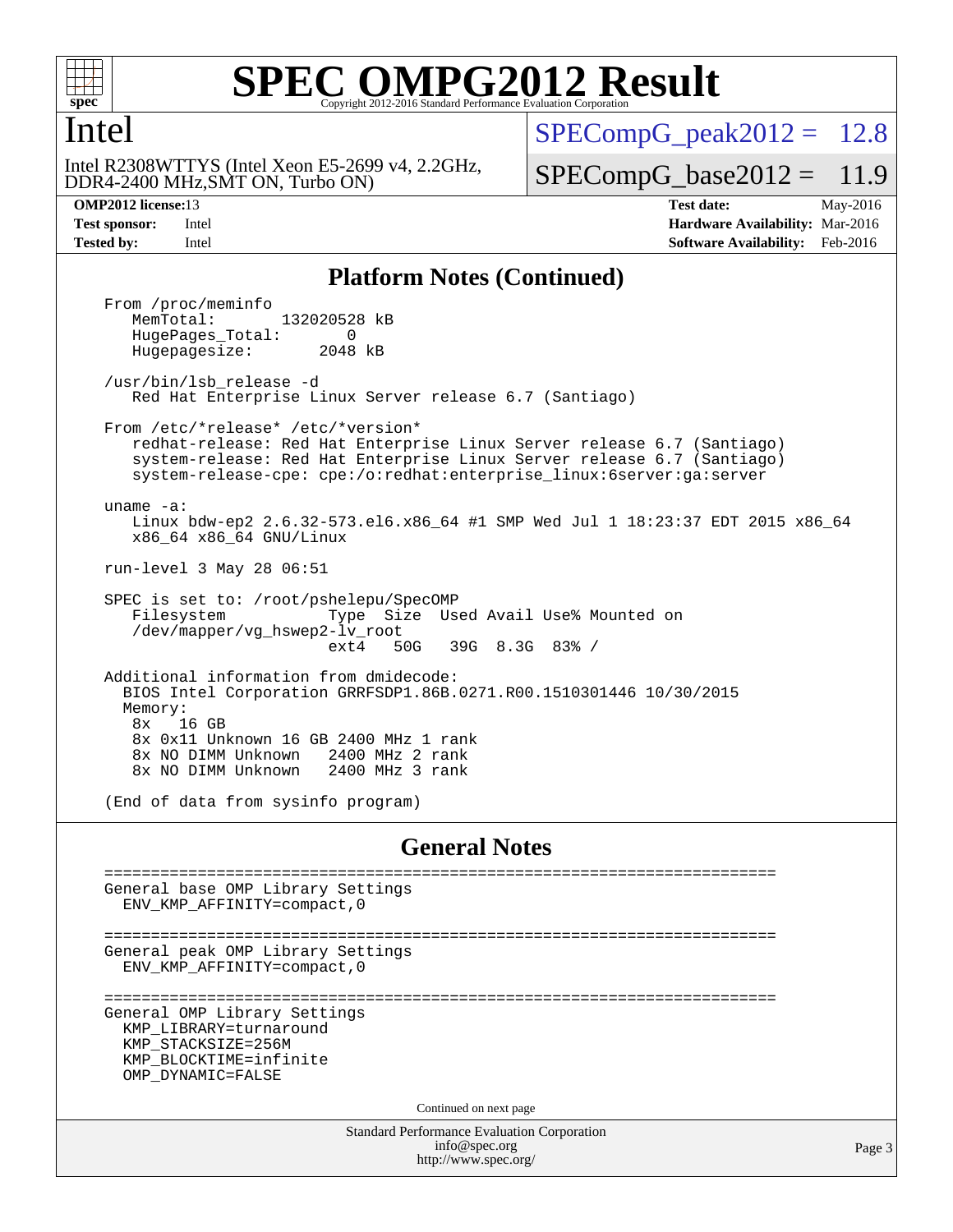

#### **SPEC ONPG2012 Result** Copyright 2012-2016 Standard Performance Evaluation

#### Intel

DDR4-2400 MHz,SMT ON, Turbo ON) Intel R2308WTTYS (Intel Xeon E5-2699 v4, 2.2GHz,

 $SPECompG<sub>peak2012</sub> = 12.8$ 

 $SPECompG_base2012 = 11.9$  $SPECompG_base2012 = 11.9$ 

**[OMP2012 license:](http://www.spec.org/auto/omp2012/Docs/result-fields.html#OMP2012license)**13 **[Test date:](http://www.spec.org/auto/omp2012/Docs/result-fields.html#Testdate)** May-2016 **[Test sponsor:](http://www.spec.org/auto/omp2012/Docs/result-fields.html#Testsponsor)** Intel **[Hardware Availability:](http://www.spec.org/auto/omp2012/Docs/result-fields.html#HardwareAvailability)** Mar-2016 **[Tested by:](http://www.spec.org/auto/omp2012/Docs/result-fields.html#Testedby)** Intel **[Software Availability:](http://www.spec.org/auto/omp2012/Docs/result-fields.html#SoftwareAvailability)** Feb-2016

#### **[Platform Notes \(Continued\)](http://www.spec.org/auto/omp2012/Docs/result-fields.html#PlatformNotes)**

Standard Performance Evaluation Corporation From /proc/meminfo<br>MemTotal: 132020528 kB HugePages\_Total: 0<br>Hugepagesize: 2048 kB Hugepagesize: /usr/bin/lsb\_release -d Red Hat Enterprise Linux Server release 6.7 (Santiago) From /etc/\*release\* /etc/\*version\* redhat-release: Red Hat Enterprise Linux Server release 6.7 (Santiago) system-release: Red Hat Enterprise Linux Server release 6.7 (Santiago) system-release-cpe: cpe:/o:redhat:enterprise\_linux:6server:ga:server uname -a: Linux bdw-ep2 2.6.32-573.el6.x86\_64 #1 SMP Wed Jul 1 18:23:37 EDT 2015 x86\_64 x86\_64 x86\_64 GNU/Linux run-level 3 May 28 06:51 SPEC is set to: /root/pshelepu/SpecOMP Filesystem Type Size Used Avail Use% Mounted on /dev/mapper/vg\_hswep2-lv\_root ext4 50G 39G 8.3G 83% / Additional information from dmidecode: BIOS Intel Corporation GRRFSDP1.86B.0271.R00.1510301446 10/30/2015 Memory: 8x 16 GB 8x 0x11 Unknown 16 GB 2400 MHz 1 rank 8x NO DIMM Unknown 8x NO DIMM Unknown 2400 MHz 3 rank (End of data from sysinfo program) **[General Notes](http://www.spec.org/auto/omp2012/Docs/result-fields.html#GeneralNotes)** ======================================================================== General base OMP Library Settings ENV\_KMP\_AFFINITY=compact,0 ======================================================================== General peak OMP Library Settings ENV\_KMP\_AFFINITY=compact,0 ======================================================================== General OMP Library Settings KMP\_LIBRARY=turnaround KMP\_STACKSIZE=256M KMP\_BLOCKTIME=infinite OMP\_DYNAMIC=FALSE Continued on next page

[info@spec.org](mailto:info@spec.org) <http://www.spec.org/>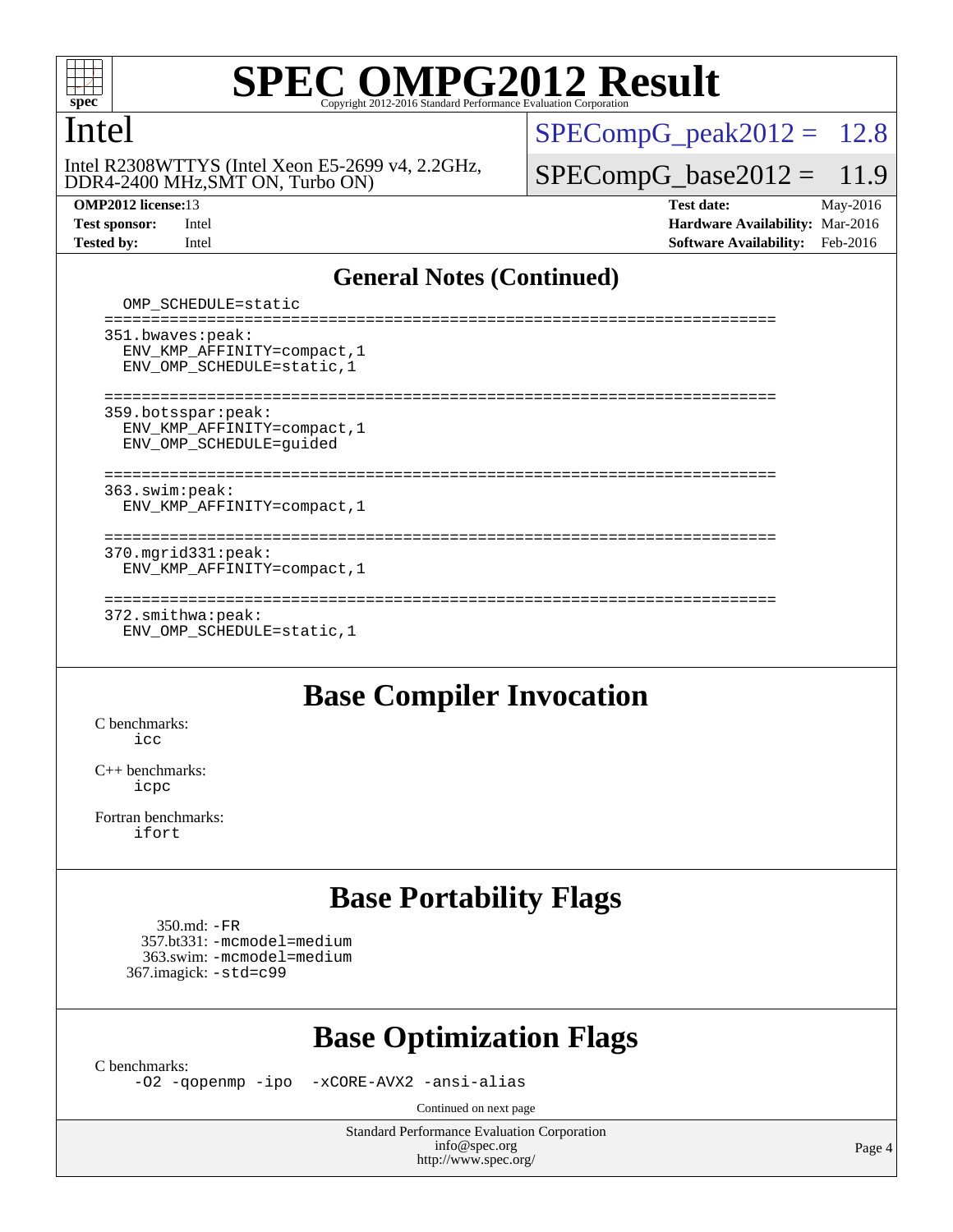

#### Intel

DDR4-2400 MHz,SMT ON, Turbo ON) Intel R2308WTTYS (Intel Xeon E5-2699 v4, 2.2GHz,

 $SPECompG_peak2012 = 12.8$  $SPECompG_peak2012 = 12.8$ 

 $SPECompG_base2012 = 11.9$  $SPECompG_base2012 = 11.9$ 

**[OMP2012 license:](http://www.spec.org/auto/omp2012/Docs/result-fields.html#OMP2012license)**13 **[Test date:](http://www.spec.org/auto/omp2012/Docs/result-fields.html#Testdate)** May-2016 **[Test sponsor:](http://www.spec.org/auto/omp2012/Docs/result-fields.html#Testsponsor)** Intel **[Hardware Availability:](http://www.spec.org/auto/omp2012/Docs/result-fields.html#HardwareAvailability)** Mar-2016 **[Tested by:](http://www.spec.org/auto/omp2012/Docs/result-fields.html#Testedby)** Intel **[Software Availability:](http://www.spec.org/auto/omp2012/Docs/result-fields.html#SoftwareAvailability)** Feb-2016

#### **[General Notes \(Continued\)](http://www.spec.org/auto/omp2012/Docs/result-fields.html#GeneralNotes)**

 OMP\_SCHEDULE=static ======================================================================== 351.bwaves:peak: ENV\_KMP\_AFFINITY=compact,1 ENV\_OMP\_SCHEDULE=static,1 ======================================================================== 359.botsspar:peak: ENV\_KMP\_AFFINITY=compact,1 ENV\_OMP\_SCHEDULE=guided ======================================================================== 363.swim:peak: ENV\_KMP\_AFFINITY=compact,1 ======================================================================== 370.mgrid331:peak: ENV\_KMP\_AFFINITY=compact,1 ======================================================================== 372.smithwa:peak: ENV\_OMP\_SCHEDULE=static,1

#### **[Base Compiler Invocation](http://www.spec.org/auto/omp2012/Docs/result-fields.html#BaseCompilerInvocation)**

[C benchmarks](http://www.spec.org/auto/omp2012/Docs/result-fields.html#Cbenchmarks):  $i$ cc

[C++ benchmarks:](http://www.spec.org/auto/omp2012/Docs/result-fields.html#CXXbenchmarks) [icpc](http://www.spec.org/omp2012/results/res2016q2/omp2012-20160530-00076.flags.html#user_CXXbase_intel_icpc_2d899f8d163502b12eb4a60069f80c1c)

[Fortran benchmarks](http://www.spec.org/auto/omp2012/Docs/result-fields.html#Fortranbenchmarks): [ifort](http://www.spec.org/omp2012/results/res2016q2/omp2012-20160530-00076.flags.html#user_FCbase_intel_ifort_8a5e5e06b19a251bdeaf8fdab5d62f20)

### **[Base Portability Flags](http://www.spec.org/auto/omp2012/Docs/result-fields.html#BasePortabilityFlags)**

 350.md: [-FR](http://www.spec.org/omp2012/results/res2016q2/omp2012-20160530-00076.flags.html#user_baseFPORTABILITY350_md_f-FR) 357.bt331: [-mcmodel=medium](http://www.spec.org/omp2012/results/res2016q2/omp2012-20160530-00076.flags.html#user_basePORTABILITY357_bt331_f-mcmodel_3a41622424bdd074c4f0f2d2f224c7e5) 363.swim: [-mcmodel=medium](http://www.spec.org/omp2012/results/res2016q2/omp2012-20160530-00076.flags.html#user_basePORTABILITY363_swim_f-mcmodel_3a41622424bdd074c4f0f2d2f224c7e5) 367.imagick: [-std=c99](http://www.spec.org/omp2012/results/res2016q2/omp2012-20160530-00076.flags.html#user_baseCPORTABILITY367_imagick_f-std_2ec6533b6e06f1c4a6c9b78d9e9cde24)

### **[Base Optimization Flags](http://www.spec.org/auto/omp2012/Docs/result-fields.html#BaseOptimizationFlags)**

[C benchmarks](http://www.spec.org/auto/omp2012/Docs/result-fields.html#Cbenchmarks):

[-O2](http://www.spec.org/omp2012/results/res2016q2/omp2012-20160530-00076.flags.html#user_CCbase_f-O2) [-qopenmp](http://www.spec.org/omp2012/results/res2016q2/omp2012-20160530-00076.flags.html#user_CCbase_f-qopenmp) [-ipo](http://www.spec.org/omp2012/results/res2016q2/omp2012-20160530-00076.flags.html#user_CCbase_f-ipo_84062ab53814f613187d02344b8f49a7) [-xCORE-AVX2](http://www.spec.org/omp2012/results/res2016q2/omp2012-20160530-00076.flags.html#user_CCbase_f-xCORE-AVX2) [-ansi-alias](http://www.spec.org/omp2012/results/res2016q2/omp2012-20160530-00076.flags.html#user_CCbase_f-ansi-alias)

Continued on next page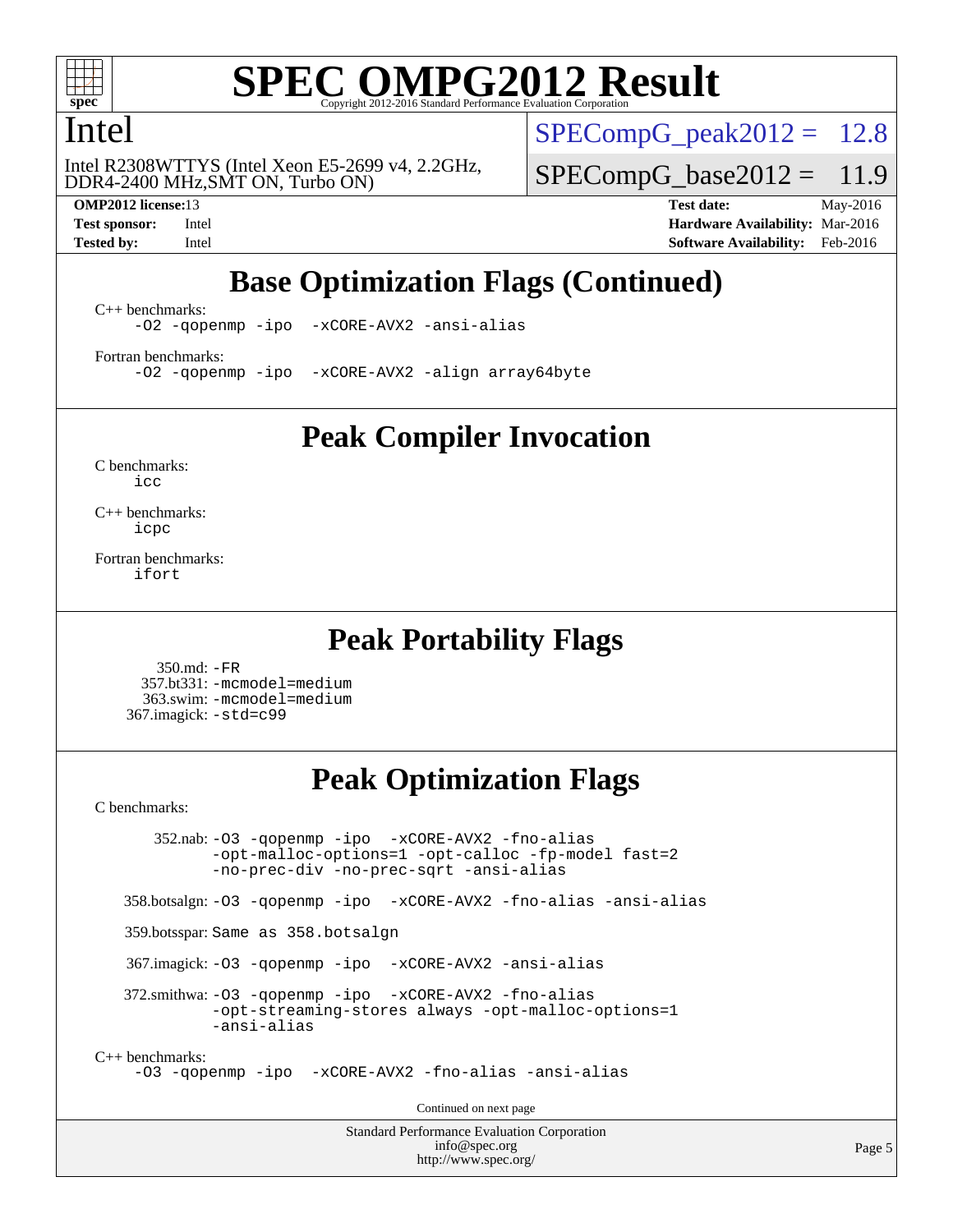

#### Intel

DDR4-2400 MHz,SMT ON, Turbo ON) Intel R2308WTTYS (Intel Xeon E5-2699 v4, 2.2GHz,

 $SPECompG_peak2012 = 12.8$  $SPECompG_peak2012 = 12.8$ 

 $SPECompG_base2012 = 11.9$  $SPECompG_base2012 = 11.9$ 

**[OMP2012 license:](http://www.spec.org/auto/omp2012/Docs/result-fields.html#OMP2012license)**13 **[Test date:](http://www.spec.org/auto/omp2012/Docs/result-fields.html#Testdate)** May-2016 **[Test sponsor:](http://www.spec.org/auto/omp2012/Docs/result-fields.html#Testsponsor)** Intel **[Hardware Availability:](http://www.spec.org/auto/omp2012/Docs/result-fields.html#HardwareAvailability)** Mar-2016 **[Tested by:](http://www.spec.org/auto/omp2012/Docs/result-fields.html#Testedby)** Intel **[Software Availability:](http://www.spec.org/auto/omp2012/Docs/result-fields.html#SoftwareAvailability)** Feb-2016

## **[Base Optimization Flags \(Continued\)](http://www.spec.org/auto/omp2012/Docs/result-fields.html#BaseOptimizationFlags)**

[C++ benchmarks:](http://www.spec.org/auto/omp2012/Docs/result-fields.html#CXXbenchmarks)

[-O2](http://www.spec.org/omp2012/results/res2016q2/omp2012-20160530-00076.flags.html#user_CXXbase_f-O2) [-qopenmp](http://www.spec.org/omp2012/results/res2016q2/omp2012-20160530-00076.flags.html#user_CXXbase_f-qopenmp) [-ipo](http://www.spec.org/omp2012/results/res2016q2/omp2012-20160530-00076.flags.html#user_CXXbase_f-ipo_84062ab53814f613187d02344b8f49a7) [-xCORE-AVX2](http://www.spec.org/omp2012/results/res2016q2/omp2012-20160530-00076.flags.html#user_CXXbase_f-xCORE-AVX2) [-ansi-alias](http://www.spec.org/omp2012/results/res2016q2/omp2012-20160530-00076.flags.html#user_CXXbase_f-ansi-alias)

[Fortran benchmarks](http://www.spec.org/auto/omp2012/Docs/result-fields.html#Fortranbenchmarks):

[-O2](http://www.spec.org/omp2012/results/res2016q2/omp2012-20160530-00076.flags.html#user_FCbase_f-O2) [-qopenmp](http://www.spec.org/omp2012/results/res2016q2/omp2012-20160530-00076.flags.html#user_FCbase_f-qopenmp) [-ipo](http://www.spec.org/omp2012/results/res2016q2/omp2012-20160530-00076.flags.html#user_FCbase_f-ipo_84062ab53814f613187d02344b8f49a7) [-xCORE-AVX2](http://www.spec.org/omp2012/results/res2016q2/omp2012-20160530-00076.flags.html#user_FCbase_f-xCORE-AVX2) [-align array64byte](http://www.spec.org/omp2012/results/res2016q2/omp2012-20160530-00076.flags.html#user_FCbase_f-align_c9377f996e966d652baaf753401d4725)

**[Peak Compiler Invocation](http://www.spec.org/auto/omp2012/Docs/result-fields.html#PeakCompilerInvocation)**

[C benchmarks](http://www.spec.org/auto/omp2012/Docs/result-fields.html#Cbenchmarks): [icc](http://www.spec.org/omp2012/results/res2016q2/omp2012-20160530-00076.flags.html#user_CCpeak_intel_icc_a87c68a857bc5ec5362391a49d3a37a6)

[C++ benchmarks:](http://www.spec.org/auto/omp2012/Docs/result-fields.html#CXXbenchmarks) [icpc](http://www.spec.org/omp2012/results/res2016q2/omp2012-20160530-00076.flags.html#user_CXXpeak_intel_icpc_2d899f8d163502b12eb4a60069f80c1c)

[Fortran benchmarks](http://www.spec.org/auto/omp2012/Docs/result-fields.html#Fortranbenchmarks): [ifort](http://www.spec.org/omp2012/results/res2016q2/omp2012-20160530-00076.flags.html#user_FCpeak_intel_ifort_8a5e5e06b19a251bdeaf8fdab5d62f20)

#### **[Peak Portability Flags](http://www.spec.org/auto/omp2012/Docs/result-fields.html#PeakPortabilityFlags)**

 350.md: [-FR](http://www.spec.org/omp2012/results/res2016q2/omp2012-20160530-00076.flags.html#user_peakFPORTABILITY350_md_f-FR) 357.bt331: [-mcmodel=medium](http://www.spec.org/omp2012/results/res2016q2/omp2012-20160530-00076.flags.html#user_peakPORTABILITY357_bt331_f-mcmodel_3a41622424bdd074c4f0f2d2f224c7e5) 363.swim: [-mcmodel=medium](http://www.spec.org/omp2012/results/res2016q2/omp2012-20160530-00076.flags.html#user_peakPORTABILITY363_swim_f-mcmodel_3a41622424bdd074c4f0f2d2f224c7e5) 367.imagick: [-std=c99](http://www.spec.org/omp2012/results/res2016q2/omp2012-20160530-00076.flags.html#user_peakCPORTABILITY367_imagick_f-std_2ec6533b6e06f1c4a6c9b78d9e9cde24)

## **[Peak Optimization Flags](http://www.spec.org/auto/omp2012/Docs/result-fields.html#PeakOptimizationFlags)**

[C benchmarks](http://www.spec.org/auto/omp2012/Docs/result-fields.html#Cbenchmarks):

 352.nab: [-O3](http://www.spec.org/omp2012/results/res2016q2/omp2012-20160530-00076.flags.html#user_peakOPTIMIZE352_nab_f-O3) [-qopenmp](http://www.spec.org/omp2012/results/res2016q2/omp2012-20160530-00076.flags.html#user_peakOPTIMIZE352_nab_f-qopenmp) [-ipo](http://www.spec.org/omp2012/results/res2016q2/omp2012-20160530-00076.flags.html#user_peakOPTIMIZE352_nab_f-ipo_84062ab53814f613187d02344b8f49a7) [-xCORE-AVX2](http://www.spec.org/omp2012/results/res2016q2/omp2012-20160530-00076.flags.html#user_peakOPTIMIZE352_nab_f-xCORE-AVX2) [-fno-alias](http://www.spec.org/omp2012/results/res2016q2/omp2012-20160530-00076.flags.html#user_peakOPTIMIZE352_nab_f-no-alias_694e77f6c5a51e658e82ccff53a9e63a) [-opt-malloc-options=1](http://www.spec.org/omp2012/results/res2016q2/omp2012-20160530-00076.flags.html#user_peakOPTIMIZE352_nab_f-opt-malloc-options_d882ffc6ff87e51efe45f9a5190004b0) [-opt-calloc](http://www.spec.org/omp2012/results/res2016q2/omp2012-20160530-00076.flags.html#user_peakOPTIMIZE352_nab_f-opt-calloc) [-fp-model fast=2](http://www.spec.org/omp2012/results/res2016q2/omp2012-20160530-00076.flags.html#user_peakOPTIMIZE352_nab_f-fp-model_a7fb8ccb7275e23f0079632c153cfcab) [-no-prec-div](http://www.spec.org/omp2012/results/res2016q2/omp2012-20160530-00076.flags.html#user_peakOPTIMIZE352_nab_f-no-prec-div) [-no-prec-sqrt](http://www.spec.org/omp2012/results/res2016q2/omp2012-20160530-00076.flags.html#user_peakOPTIMIZE352_nab_f-no-prec-sqrt) [-ansi-alias](http://www.spec.org/omp2012/results/res2016q2/omp2012-20160530-00076.flags.html#user_peakCOPTIMIZE352_nab_f-ansi-alias) 358.botsalgn: [-O3](http://www.spec.org/omp2012/results/res2016q2/omp2012-20160530-00076.flags.html#user_peakOPTIMIZE358_botsalgn_f-O3) [-qopenmp](http://www.spec.org/omp2012/results/res2016q2/omp2012-20160530-00076.flags.html#user_peakOPTIMIZE358_botsalgn_f-qopenmp) [-ipo](http://www.spec.org/omp2012/results/res2016q2/omp2012-20160530-00076.flags.html#user_peakOPTIMIZE358_botsalgn_f-ipo_84062ab53814f613187d02344b8f49a7) [-xCORE-AVX2](http://www.spec.org/omp2012/results/res2016q2/omp2012-20160530-00076.flags.html#user_peakOPTIMIZE358_botsalgn_f-xCORE-AVX2) [-fno-alias](http://www.spec.org/omp2012/results/res2016q2/omp2012-20160530-00076.flags.html#user_peakOPTIMIZE358_botsalgn_f-no-alias_694e77f6c5a51e658e82ccff53a9e63a) [-ansi-alias](http://www.spec.org/omp2012/results/res2016q2/omp2012-20160530-00076.flags.html#user_peakCOPTIMIZE358_botsalgn_f-ansi-alias) 359.botsspar: Same as 358.botsalgn 367.imagick: [-O3](http://www.spec.org/omp2012/results/res2016q2/omp2012-20160530-00076.flags.html#user_peakOPTIMIZE367_imagick_f-O3) [-qopenmp](http://www.spec.org/omp2012/results/res2016q2/omp2012-20160530-00076.flags.html#user_peakOPTIMIZE367_imagick_f-qopenmp) [-ipo](http://www.spec.org/omp2012/results/res2016q2/omp2012-20160530-00076.flags.html#user_peakOPTIMIZE367_imagick_f-ipo_84062ab53814f613187d02344b8f49a7) [-xCORE-AVX2](http://www.spec.org/omp2012/results/res2016q2/omp2012-20160530-00076.flags.html#user_peakOPTIMIZE367_imagick_f-xCORE-AVX2) [-ansi-alias](http://www.spec.org/omp2012/results/res2016q2/omp2012-20160530-00076.flags.html#user_peakCOPTIMIZE367_imagick_f-ansi-alias) 372.smithwa: [-O3](http://www.spec.org/omp2012/results/res2016q2/omp2012-20160530-00076.flags.html#user_peakOPTIMIZE372_smithwa_f-O3) [-qopenmp](http://www.spec.org/omp2012/results/res2016q2/omp2012-20160530-00076.flags.html#user_peakOPTIMIZE372_smithwa_f-qopenmp) [-ipo](http://www.spec.org/omp2012/results/res2016q2/omp2012-20160530-00076.flags.html#user_peakOPTIMIZE372_smithwa_f-ipo_84062ab53814f613187d02344b8f49a7) [-xCORE-AVX2](http://www.spec.org/omp2012/results/res2016q2/omp2012-20160530-00076.flags.html#user_peakOPTIMIZE372_smithwa_f-xCORE-AVX2) [-fno-alias](http://www.spec.org/omp2012/results/res2016q2/omp2012-20160530-00076.flags.html#user_peakOPTIMIZE372_smithwa_f-no-alias_694e77f6c5a51e658e82ccff53a9e63a) [-opt-streaming-stores always](http://www.spec.org/omp2012/results/res2016q2/omp2012-20160530-00076.flags.html#user_peakOPTIMIZE372_smithwa_f-opt-streaming-stores-always_66f55dbc532842151ebc4c82f4f5b019) [-opt-malloc-options=1](http://www.spec.org/omp2012/results/res2016q2/omp2012-20160530-00076.flags.html#user_peakOPTIMIZE372_smithwa_f-opt-malloc-options_d882ffc6ff87e51efe45f9a5190004b0) [-ansi-alias](http://www.spec.org/omp2012/results/res2016q2/omp2012-20160530-00076.flags.html#user_peakCOPTIMIZE372_smithwa_f-ansi-alias) [C++ benchmarks:](http://www.spec.org/auto/omp2012/Docs/result-fields.html#CXXbenchmarks) [-O3](http://www.spec.org/omp2012/results/res2016q2/omp2012-20160530-00076.flags.html#user_CXXpeak_f-O3) [-qopenmp](http://www.spec.org/omp2012/results/res2016q2/omp2012-20160530-00076.flags.html#user_CXXpeak_f-qopenmp) [-ipo](http://www.spec.org/omp2012/results/res2016q2/omp2012-20160530-00076.flags.html#user_CXXpeak_f-ipo_84062ab53814f613187d02344b8f49a7) [-xCORE-AVX2](http://www.spec.org/omp2012/results/res2016q2/omp2012-20160530-00076.flags.html#user_CXXpeak_f-xCORE-AVX2) [-fno-alias](http://www.spec.org/omp2012/results/res2016q2/omp2012-20160530-00076.flags.html#user_CXXpeak_f-no-alias_694e77f6c5a51e658e82ccff53a9e63a) [-ansi-alias](http://www.spec.org/omp2012/results/res2016q2/omp2012-20160530-00076.flags.html#user_CXXpeak_f-ansi-alias) Continued on next page